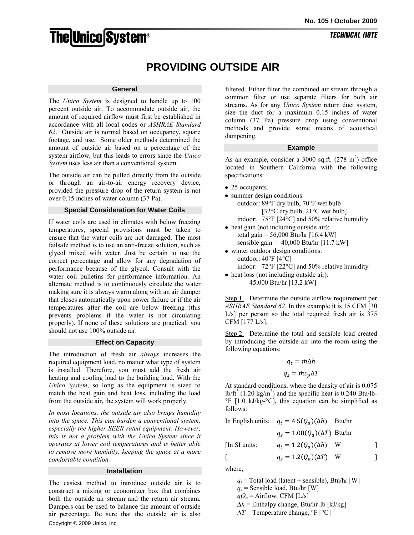# **The Unico System®**

# **PROVIDING OUTSIDE AIR**

# **General**

The *Unico System* is designed to handle up to 100 percent outside air. To accommodate outside air, the amount of required airflow must first be established in accordance with all local codes or *ASHRAE Standard 62*. Outside air is normal based on occupancy, square footage, and use. Some older methods determined the amount of outside air based on a percentage of the system airflow, but this leads to errors since the *Unico System* uses less air than a conventional system.

The outside air can be pulled directly from the outside or through an air-to-air energy recovery device, provided the pressure drop of the return system is not over 0.15 inches of water column (37 Pa).

## **Special Consideration for Water Coils**

If water coils are used in climates with below freezing temperatures, special provisions must be taken to ensure that the water coils are not damaged. The most failsafe method is to use an anti-freeze solution, such as glycol mixed with water. Just be certain to use the correct percentage and allow for any degradation of performance because of the glycol. Consult with the water coil bulletins for performance information. An alternate method is to continuously circulate the water making sure it is always warm along with an air damper that closes automatically upon power failure or if the air temperatures after the coil are below freezing (this prevents problems if the water is not circulating properly). If none of these solutions are practical, you should not use 100% outside air.

#### **Effect on Capacity**

The introduction of fresh air *always* increases the required equipment load, no matter what type of system is installed. Therefore, you must add the fresh air heating and cooling load to the building load. With the *Unico System*, so long as the equipment is sized to match the heat gain and heat loss, including the load from the outside air, the system will work properly.

*In most locations, the outside air also brings humidity into the space. This can burden a conventional system, especially the higher SEER rated equipment. However, this is not a problem with the Unico System since it operates at lower coil temperatures and is better able to remove more humidity, keeping the space at a more comfortable condition.* 

#### **Installation**

Copyright © 2009 Unico, Inc. The easiest method to introduce outside air is to construct a mixing or economizer box that combines both the outside air stream and the return air stream. Dampers can be used to balance the amount of outside air percentage. Be sure that the outside air is also

filtered. Either filter the combined air stream through a common filter or use separate filters for both air streams. As for any *Unico System* return duct system, size the duct for a maximum 0.15 inches of water column (37 Pa) pressure drop using conventional methods and provide some means of acoustical dampening.

## **Example**

As an example, consider a 3000 sq.ft.  $(278 \text{ m}^2)$  office located in Southern California with the following specifications:

- 25 occupants.
- summer design conditions: outdoor: 89°F dry bulb, 70°F wet bulb [32°C dry bulb, 21°C wet bulb] indoor: 75°F [24°C] and 50% relative humidity
- heat gain (not including outside air): total gain =  $56,000$  Btu/hr  $[16.4 \text{ kW}]$ sensible gain =  $40,000$  Btu/hr  $[11.7$  kW]
- winter outdoor design conditions: outdoor: 40°F [4°C] indoor: 72°F [22°C] and 50% relative humidity
- heat loss (not including outside air): 45,000 Btu/hr [13.2 kW]

Step 1. Determine the outside airflow requirement per *ASHRAE Standard 62*. In this example it is 15 CFM [30 L/s] per person so the total required fresh air is 375 CFM [177 L/s].

Step 2. Determine the total and sensible load created by introducing the outside air into the room using the following equations:

$$
q_t = \dot{m}\Delta h
$$

$$
q_s = \dot{m}c_n\Delta T
$$

At standard conditions, where the density of air is 0.075  $lb/ft<sup>3</sup>$  (1.20 kg/m<sup>3</sup>) and the specific heat is 0.240 Btu/lb-°F [1.0 kJ/kg-°C], this equation can be simplified as follows:

|               | In English units: $q_t = 4.5(Q_a)(\Delta h)$ Btu/hr |     |  |
|---------------|-----------------------------------------------------|-----|--|
|               | $q_s = 1.08(Q_a)(\Delta T)$ Btu/hr                  |     |  |
| [In SI units: | $q_t = 1.2(Q_a)(\Delta h)$                          | - W |  |
|               | $q_s = 1.2(Q_a)(\Delta T)$                          | - W |  |
|               |                                                     |     |  |

where,

 $q_t$  = Total load (latent + sensible), Btu/hr [W]  $q_s$  = Sensible load, Btu/hr [W]  $qQ_a$  = Airflow, CFM [L/s]  $\Delta h$  = Enthalpy change, Btu/hr-lb [kJ/kg]  $\Delta T$  = Temperature change, °F  $\lceil$ °C]